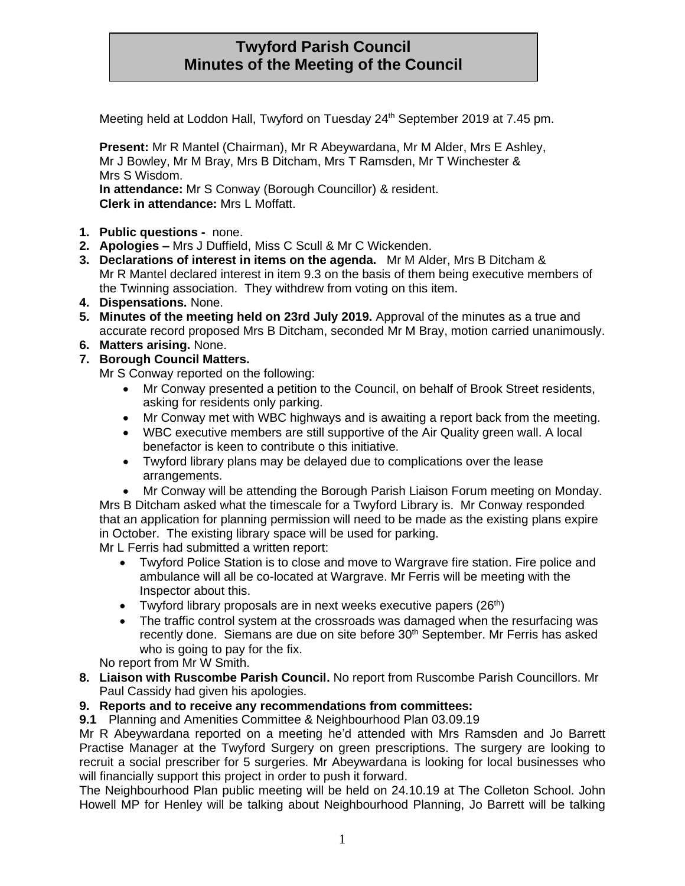## **Twyford Parish Council Minutes of the Meeting of the Council**

Meeting held at Loddon Hall, Twyford on Tuesday 24<sup>th</sup> September 2019 at 7.45 pm.

**Present:** Mr R Mantel (Chairman), Mr R Abeywardana, Mr M Alder, Mrs E Ashley, Mr J Bowley, Mr M Bray, Mrs B Ditcham, Mrs T Ramsden, Mr T Winchester & Mrs S Wisdom. **In attendance:** Mr S Conway (Borough Councillor) & resident.

**Clerk in attendance:** Mrs L Moffatt.

- **1. Public questions -** none.
- **2. Apologies –** Mrs J Duffield, Miss C Scull & Mr C Wickenden.
- **3. Declarations of interest in items on the agenda.** Mr M Alder, Mrs B Ditcham & Mr R Mantel declared interest in item 9.3 on the basis of them being executive members of the Twinning association. They withdrew from voting on this item.
- **4. Dispensations.** None.
- **5. Minutes of the meeting held on 23rd July 2019.** Approval of the minutes as a true and accurate record proposed Mrs B Ditcham, seconded Mr M Bray, motion carried unanimously.
- **6. Matters arising.** None.
- **7. Borough Council Matters.**

Mr S Conway reported on the following:

- Mr Conway presented a petition to the Council, on behalf of Brook Street residents, asking for residents only parking.
- Mr Conway met with WBC highways and is awaiting a report back from the meeting.
- WBC executive members are still supportive of the Air Quality green wall. A local benefactor is keen to contribute o this initiative.
- Twyford library plans may be delayed due to complications over the lease arrangements.
- Mr Conway will be attending the Borough Parish Liaison Forum meeting on Monday.

Mrs B Ditcham asked what the timescale for a Twyford Library is. Mr Conway responded that an application for planning permission will need to be made as the existing plans expire in October. The existing library space will be used for parking.

Mr L Ferris had submitted a written report:

- Twyford Police Station is to close and move to Wargrave fire station. Fire police and ambulance will all be co-located at Wargrave. Mr Ferris will be meeting with the Inspector about this.
- Twyford library proposals are in next weeks executive papers  $(26<sup>th</sup>)$
- The traffic control system at the crossroads was damaged when the resurfacing was recently done. Siemans are due on site before 30<sup>th</sup> September. Mr Ferris has asked who is going to pay for the fix.

No report from Mr W Smith.

**8. Liaison with Ruscombe Parish Council.** No report from Ruscombe Parish Councillors. Mr Paul Cassidy had given his apologies.

## **9. Reports and to receive any recommendations from committees:**

**9.1** Planning and Amenities Committee & Neighbourhood Plan 03.09.19

Mr R Abeywardana reported on a meeting he'd attended with Mrs Ramsden and Jo Barrett Practise Manager at the Twyford Surgery on green prescriptions. The surgery are looking to recruit a social prescriber for 5 surgeries. Mr Abeywardana is looking for local businesses who will financially support this project in order to push it forward.

The Neighbourhood Plan public meeting will be held on 24.10.19 at The Colleton School. John Howell MP for Henley will be talking about Neighbourhood Planning, Jo Barrett will be talking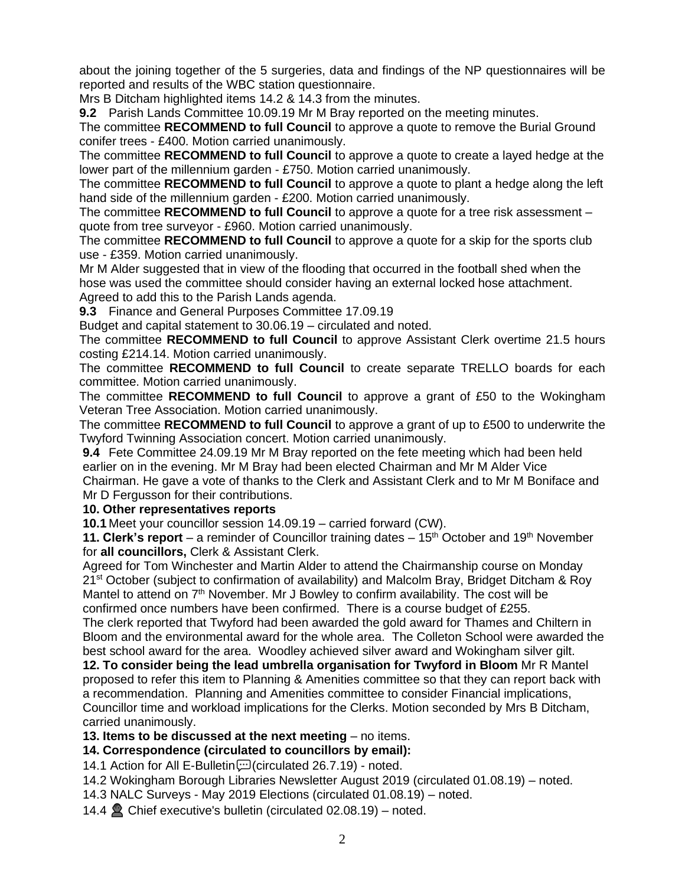about the joining together of the 5 surgeries, data and findings of the NP questionnaires will be reported and results of the WBC station questionnaire.

Mrs B Ditcham highlighted items 14.2 & 14.3 from the minutes.

**9.2** Parish Lands Committee 10.09.19 Mr M Bray reported on the meeting minutes.

The committee **RECOMMEND to full Council** to approve a quote to remove the Burial Ground conifer trees - £400. Motion carried unanimously.

The committee **RECOMMEND to full Council** to approve a quote to create a layed hedge at the lower part of the millennium garden - £750. Motion carried unanimously.

The committee **RECOMMEND to full Council** to approve a quote to plant a hedge along the left hand side of the millennium garden - £200. Motion carried unanimously.

The committee **RECOMMEND to full Council** to approve a quote for a tree risk assessment – quote from tree surveyor - £960. Motion carried unanimously.

The committee **RECOMMEND to full Council** to approve a quote for a skip for the sports club use - £359. Motion carried unanimously.

Mr M Alder suggested that in view of the flooding that occurred in the football shed when the hose was used the committee should consider having an external locked hose attachment. Agreed to add this to the Parish Lands agenda.

**9.3** Finance and General Purposes Committee 17.09.19

Budget and capital statement to 30.06.19 – circulated and noted.

The committee **RECOMMEND to full Council** to approve Assistant Clerk overtime 21.5 hours costing £214.14. Motion carried unanimously.

The committee **RECOMMEND to full Council** to create separate TRELLO boards for each committee. Motion carried unanimously.

The committee **RECOMMEND to full Council** to approve a grant of £50 to the Wokingham Veteran Tree Association. Motion carried unanimously.

The committee **RECOMMEND to full Council** to approve a grant of up to £500 to underwrite the Twyford Twinning Association concert. Motion carried unanimously.

**9.4** Fete Committee 24.09.19 Mr M Bray reported on the fete meeting which had been held earlier on in the evening. Mr M Bray had been elected Chairman and Mr M Alder Vice Chairman. He gave a vote of thanks to the Clerk and Assistant Clerk and to Mr M Boniface and Mr D Fergusson for their contributions.

## **10. Other representatives reports**

**10.1** Meet your councillor session 14.09.19 – carried forward (CW).

**11. Clerk's report** – a reminder of Councillor training dates – 15<sup>th</sup> October and 19<sup>th</sup> November for **all councillors,** Clerk & Assistant Clerk.

Agreed for Tom Winchester and Martin Alder to attend the Chairmanship course on Monday 21<sup>st</sup> October (subject to confirmation of availability) and Malcolm Bray, Bridget Ditcham & Roy Mantel to attend on 7<sup>th</sup> November. Mr J Bowley to confirm availability. The cost will be confirmed once numbers have been confirmed. There is a course budget of £255.

The clerk reported that Twyford had been awarded the gold award for Thames and Chiltern in Bloom and the environmental award for the whole area. The Colleton School were awarded the best school award for the area. Woodley achieved silver award and Wokingham silver gilt.

**12. To consider being the lead umbrella organisation for Twyford in Bloom** Mr R Mantel proposed to refer this item to Planning & Amenities committee so that they can report back with a recommendation. Planning and Amenities committee to consider Financial implications, Councillor time and workload implications for the Clerks. Motion seconded by Mrs B Ditcham, carried unanimously.

**13. Items to be discussed at the next meeting** – no items.

**14. Correspondence (circulated to councillors by email):**

14.1 Action for All E-Bulletin [correctlated 26.7.19] - noted.

14.2 Wokingham Borough Libraries Newsletter August 2019 (circulated 01.08.19) – noted.

14.3 NALC Surveys - May 2019 Elections (circulated 01.08.19) – noted.

14.4  $\bullet$  Chief executive's bulletin (circulated 02.08.19) – noted.